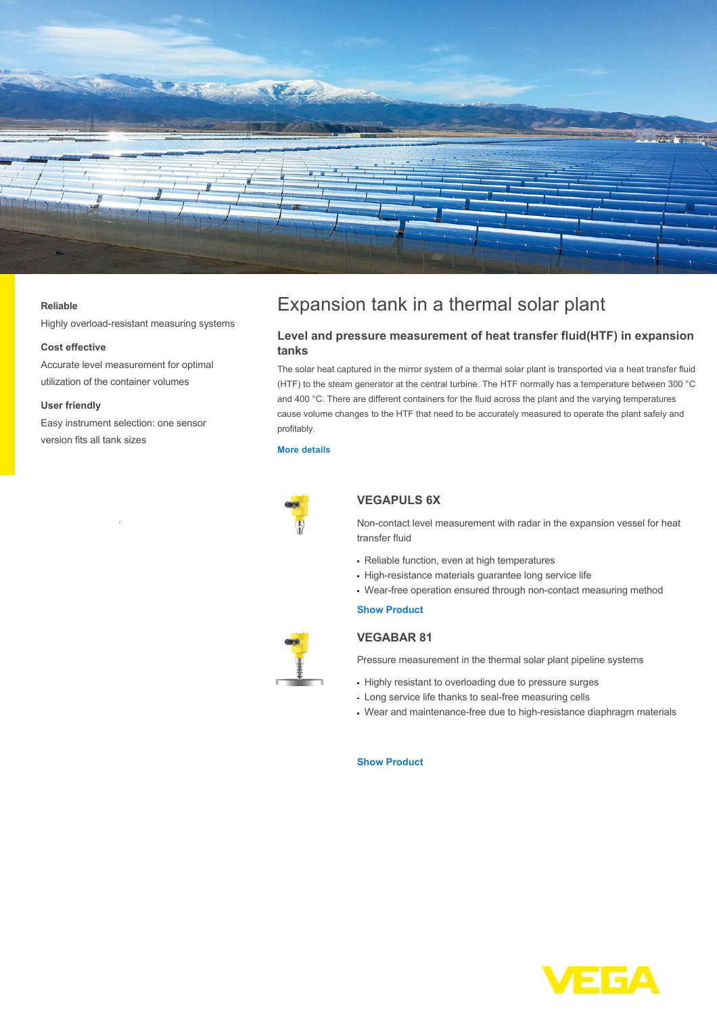

#### **Reliable**

Highly overload-resistant measuring systems

#### **Cost effective**

Accurate level measurement for optimal utilization of the container volumes

#### **User friendly**

Easy instrument selection: one sensor version fits all tank sizes

# Expansion tank in a thermal solar plant

## **Level and pressure measurement of heat transfer fluid(HTF) in expansion tanks**

The solar heat captured in the mirror system of a thermal solar plant is transported via a heat transfer fluid (HTF) to the steam generator at the central turbine. The HTF normally has a temperature between 300 °C and 400 °C. There are different containers for the fluid across the plant and the varying temperatures cause volume changes to the HTF that need to be accurately measured to operate the plant safely and profitably.

#### **[More details](http://localhost/en-us/industries/energy/solar-energy/expansion-tank-in-a-thermal-solar-plant)**



## **VEGAPULS 6X**

Non-contact level measurement with radar in the expansion vessel for heat transfer fluid

- Reliable function, even at high temperatures
- High-resistance materials guarantee long service life
- Wear-free operation ensured through non-contact measuring method

### **[Show Product](http://localhost/en-us/products/product-catalog/level/radar/vegapuls-6x)**



## **VEGABAR 81**

Pressure measurement in the thermal solar plant pipeline systems

- Highly resistant to overloading due to pressure surges
- Long service life thanks to seal-free measuring cells
- Wear and maintenance-free due to high-resistance diaphragm materials

#### **[Show Product](http://localhost/en-us/products/product-catalog/pressure/hydrostatic/vegabar-81)**